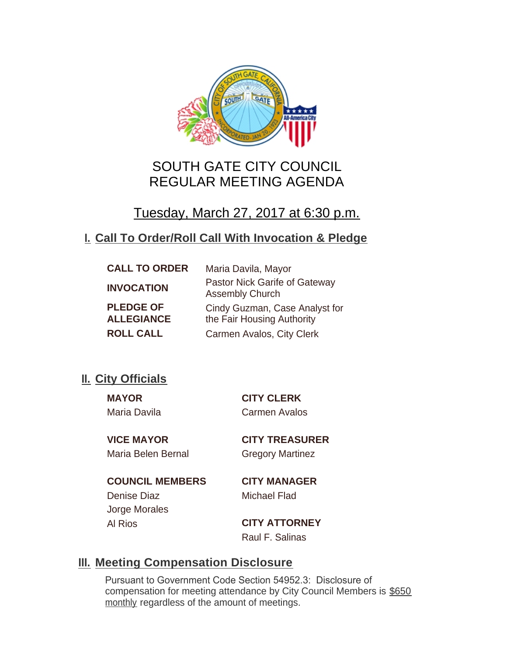

# SOUTH GATE CITY COUNCIL REGULAR MEETING AGENDA

# Tuesday, March 27, 2017 at 6:30 p.m.

# **Call To Order/Roll Call With Invocation & Pledge I.**

| <b>CALL TO ORDER</b>                  | Maria Davila, Mayor                                          |
|---------------------------------------|--------------------------------------------------------------|
| <b>INVOCATION</b>                     | Pastor Nick Garife of Gateway<br><b>Assembly Church</b>      |
| <b>PLEDGE OF</b><br><b>ALLEGIANCE</b> | Cindy Guzman, Case Analyst for<br>the Fair Housing Authority |
| <b>ROLL CALL</b>                      | Carmen Avalos, City Clerk                                    |

# **II.** City Officials

Maria Davila Carmen Avalos

**MAYOR CITY CLERK**

**VICE MAYOR CITY TREASURER** Maria Belen Bernal Gregory Martinez

**COUNCIL MEMBERS CITY MANAGER** Denise Diaz Michael Flad Jorge Morales

Al Rios **CITY ATTORNEY** Raul F. Salinas

# **Meeting Compensation Disclosure III.**

Pursuant to Government Code Section 54952.3: Disclosure of compensation for meeting attendance by City Council Members is \$650 monthly regardless of the amount of meetings.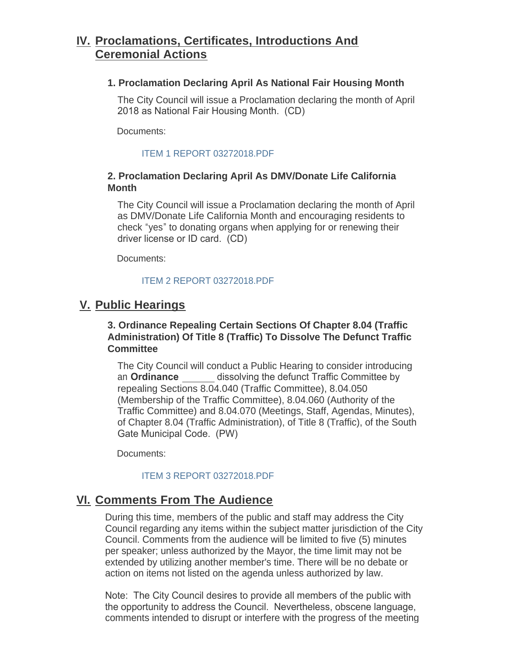# **Proclamations, Certificates, Introductions And IV. Ceremonial Actions**

### **1. Proclamation Declaring April As National Fair Housing Month**

The City Council will issue a Proclamation declaring the month of April 2018 as National Fair Housing Month. (CD)

Documents:

### [ITEM 1 REPORT 03272018.PDF](http://cityofsouthgate.org/AgendaCenter/ViewFile/Item/5641?fileID=12003)

## **2. Proclamation Declaring April As DMV/Donate Life California Month**

The City Council will issue a Proclamation declaring the month of April as DMV/Donate Life California Month and encouraging residents to check "yes" to donating organs when applying for or renewing their driver license or ID card. (CD)

Documents:

## [ITEM 2 REPORT 03272018.PDF](http://cityofsouthgate.org/AgendaCenter/ViewFile/Item/5642?fileID=12004)

# **Public Hearings V.**

## **3. Ordinance Repealing Certain Sections Of Chapter 8.04 (Traffic Administration) Of Title 8 (Traffic) To Dissolve The Defunct Traffic Committee**

The City Council will conduct a Public Hearing to consider introducing an **Ordinance** dissolving the defunct Traffic Committee by repealing Sections 8.04.040 (Traffic Committee), 8.04.050 (Membership of the Traffic Committee), 8.04.060 (Authority of the Traffic Committee) and 8.04.070 (Meetings, Staff, Agendas, Minutes), of Chapter 8.04 (Traffic Administration), of Title 8 (Traffic), of the South Gate Municipal Code. (PW)

Documents:

## [ITEM 3 REPORT 03272018.PDF](http://cityofsouthgate.org/AgendaCenter/ViewFile/Item/5653?fileID=12008)

# **<u>VI. Comments From The Audience</u>**

During this time, members of the public and staff may address the City Council regarding any items within the subject matter jurisdiction of the City Council. Comments from the audience will be limited to five (5) minutes per speaker; unless authorized by the Mayor, the time limit may not be extended by utilizing another member's time. There will be no debate or action on items not listed on the agenda unless authorized by law.

Note: The City Council desires to provide all members of the public with the opportunity to address the Council. Nevertheless, obscene language, comments intended to disrupt or interfere with the progress of the meeting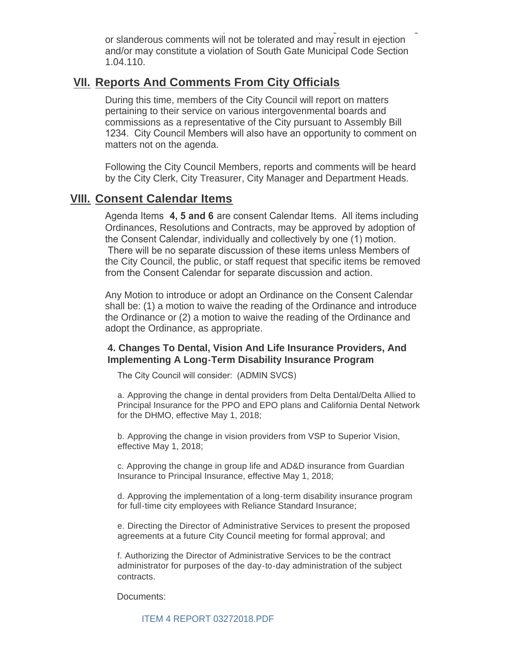comments intended to disrupt or interfere with the progress of the meeting or slanderous comments will not be tolerated and may result in ejection and/or may constitute a violation of South Gate Municipal Code Section 1.04.110.

## **<u>VII. Reports And Comments From City Officials</u>**

During this time, members of the City Council will report on matters pertaining to their service on various intergovenmental boards and commissions as a representative of the City pursuant to Assembly Bill 1234. City Council Members will also have an opportunity to comment on matters not on the agenda.

Following the City Council Members, reports and comments will be heard by the City Clerk, City Treasurer, City Manager and Department Heads.

## **Consent Calendar Items VIII.**

Agenda Items **4, 5 and 6** are consent Calendar Items. All items including Ordinances, Resolutions and Contracts, may be approved by adoption of the Consent Calendar, individually and collectively by one (1) motion. There will be no separate discussion of these items unless Members of the City Council, the public, or staff request that specific items be removed from the Consent Calendar for separate discussion and action.

Any Motion to introduce or adopt an Ordinance on the Consent Calendar shall be: (1) a motion to waive the reading of the Ordinance and introduce the Ordinance or (2) a motion to waive the reading of the Ordinance and adopt the Ordinance, as appropriate.

#### **4. Changes To Dental, Vision And Life Insurance Providers, And Implementing A Long-Term Disability Insurance Program**

The City Council will consider: (ADMIN SVCS)

a. Approving the change in dental providers from Delta Dental/Delta Allied to Principal Insurance for the PPO and EPO plans and California Dental Network for the DHMO, effective May 1, 2018;

b. Approving the change in vision providers from VSP to Superior Vision, effective May 1, 2018;

c. Approving the change in group life and AD&D insurance from Guardian Insurance to Principal Insurance, effective May 1, 2018;

d. Approving the implementation of a long-term disability insurance program for full-time city employees with Reliance Standard Insurance;

e. Directing the Director of Administrative Services to present the proposed agreements at a future City Council meeting for formal approval; and

f. Authorizing the Director of Administrative Services to be the contract administrator for purposes of the day-to-day administration of the subject contracts.

Documents: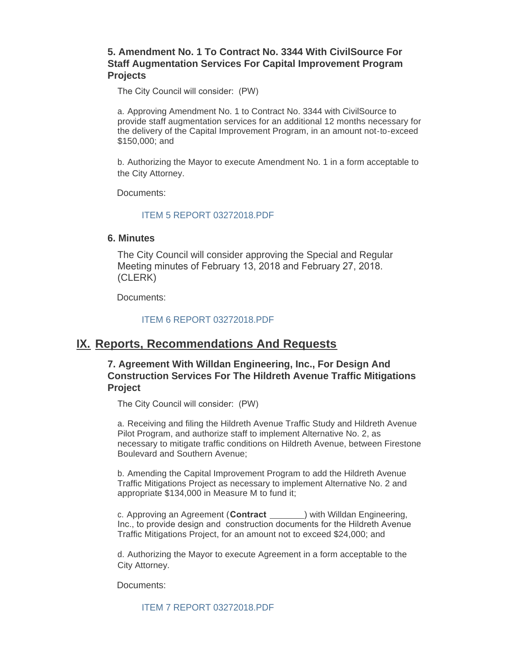## **5. Amendment No. 1 To Contract No. 3344 With CivilSource For Staff Augmentation Services For Capital Improvement Program Projects**

The City Council will consider: (PW)

a. Approving Amendment No. 1 to Contract No. 3344 with CivilSource to provide staff augmentation services for an additional 12 months necessary for the delivery of the Capital Improvement Program, in an amount not-to-exceed \$150,000; and

b. Authorizing the Mayor to execute Amendment No. 1 in a form acceptable to the City Attorney.

Documents:

#### [ITEM 5 REPORT 03272018.PDF](http://cityofsouthgate.org/AgendaCenter/ViewFile/Item/5657?fileID=12012)

#### **6. Minutes**

The City Council will consider approving the Special and Regular Meeting minutes of February 13, 2018 and February 27, 2018. (CLERK)

Documents:

[ITEM 6 REPORT 03272018.PDF](http://cityofsouthgate.org/AgendaCenter/ViewFile/Item/5652?fileID=12007)

## **IX. Reports, Recommendations And Requests**

### **7. Agreement With Willdan Engineering, Inc., For Design And Construction Services For The Hildreth Avenue Traffic Mitigations Project**

The City Council will consider: (PW)

a. Receiving and filing the Hildreth Avenue Traffic Study and Hildreth Avenue Pilot Program, and authorize staff to implement Alternative No. 2, as necessary to mitigate traffic conditions on Hildreth Avenue, between Firestone Boulevard and Southern Avenue;

b. Amending the Capital Improvement Program to add the Hildreth Avenue Traffic Mitigations Project as necessary to implement Alternative No. 2 and appropriate \$134,000 in Measure M to fund it;

c. Approving an Agreement (**Contract** ) with Willdan Engineering, Inc., to provide design and construction documents for the Hildreth Avenue Traffic Mitigations Project, for an amount not to exceed \$24,000; and

d. Authorizing the Mayor to execute Agreement in a form acceptable to the City Attorney.

Documents:

[ITEM 7 REPORT 03272018.PDF](http://cityofsouthgate.org/AgendaCenter/ViewFile/Item/5670?fileID=12015)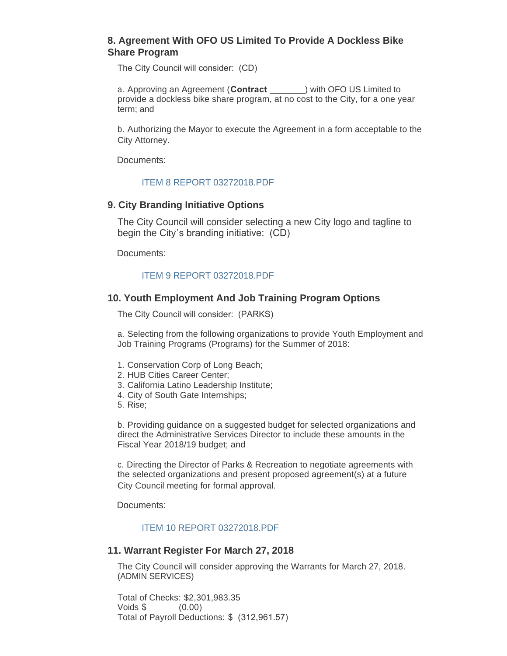### **8. Agreement With OFO US Limited To Provide A Dockless Bike Share Program**

The City Council will consider: (CD)

a. Approving an Agreement (Contract **\bubband{callengenation**} with OFO US Limited to provide a dockless bike share program, at no cost to the City, for a one year term; and

b. Authorizing the Mayor to execute the Agreement in a form acceptable to the City Attorney.

Documents:

#### [ITEM 8 REPORT 03272018.PDF](http://cityofsouthgate.org/AgendaCenter/ViewFile/Item/5654?fileID=12009)

#### **9. City Branding Initiative Options**

The City Council will consider selecting a new City logo and tagline to begin the City's branding initiative: (CD)

Documents:

#### [ITEM 9 REPORT 03272018.PDF](http://cityofsouthgate.org/AgendaCenter/ViewFile/Item/5655?fileID=12010)

#### **10. Youth Employment And Job Training Program Options**

The City Council will consider: (PARKS)

a. Selecting from the following organizations to provide Youth Employment and Job Training Programs (Programs) for the Summer of 2018:

- 1. Conservation Corp of Long Beach;
- 2. HUB Cities Career Center;
- 3. California Latino Leadership Institute;
- 4. City of South Gate Internships;
- 5. Rise;

b. Providing guidance on a suggested budget for selected organizations and direct the Administrative Services Director to include these amounts in the Fiscal Year 2018/19 budget; and

c. Directing the Director of Parks & Recreation to negotiate agreements with the selected organizations and present proposed agreement(s) at a future City Council meeting for formal approval.

Documents:

#### [ITEM 10 REPORT 03272018.PDF](http://cityofsouthgate.org/AgendaCenter/ViewFile/Item/5656?fileID=12011)

#### **11. Warrant Register For March 27, 2018**

The City Council will consider approving the Warrants for March 27, 2018. (ADMIN SERVICES)

Total of Checks: \$2,301,983.35 Voids \$ (0.00) Total of Payroll Deductions: \$ (312,961.57)